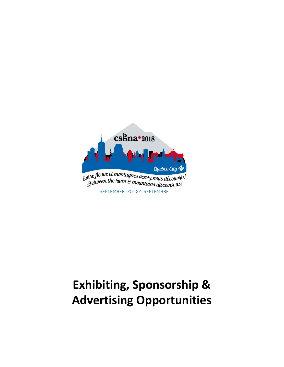

# **Exhibiting, Sponsorship & Advertising Opportunities**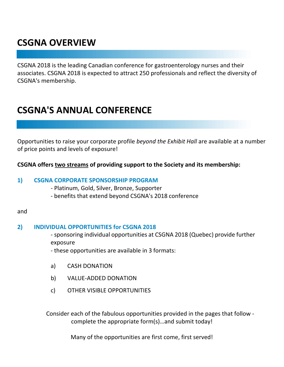# **CSGNA OVERVIEW**

CSGNA 2018 is the leading Canadian conference for gastroenterology nurses and their associates. CSGNA 2018 is expected to attract 250 professionals and reflect the diversity of CSGNA's membership.

## **CSGNA'S ANNUAL CONFERENCE**

Opportunities to raise your corporate profile *beyond the Exhibit Hall* are available at a number of price points and levels of exposure!

### **CSGNA offers two streams of providing support to the Society and its membership:**

#### **1) CSGNA CORPORATE SPONSORSHIP PROGRAM**

- Platinum, Gold, Silver, Bronze, Supporter
- benefits that extend beyond CSGNA's 2018 conference

#### and

### **2) INDIVIDUAL OPPORTUNITIES for CSGNA 2018**

- sponsoring individual opportunities at CSGNA 2018 (Quebec) provide further exposure
- these opportunities are available in 3 formats:
- a) CASH DONATION
- b) VALUE-ADDED DONATION
- c) OTHER VISIBLE OPPORTUNITIES

Consider each of the fabulous opportunities provided in the pages that follow complete the appropriate form(s)…and submit today!

Many of the opportunities are first come, first served!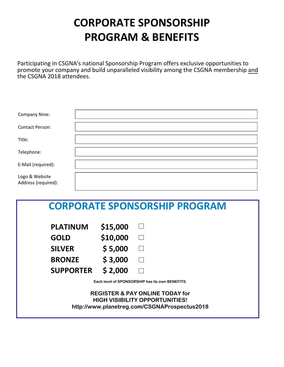# **CORPORATE SPONSORSHIP PROGRAM & BENEFITS**

Participating in CSGNA's national Sponsorship Program offers exclusive opportunities to promote your company and build unparalleled visibility among the CSGNA membership and the CSGNA 2018 attendees.

| Company Nme:                          |  |
|---------------------------------------|--|
| <b>Contact Person:</b>                |  |
| Title:                                |  |
| Telephone:                            |  |
| E-Mail (required):                    |  |
| Logo & Website<br>Address (required): |  |

# **CORPORATE SPONSORSHIP PROGRAM**

| <b>PLATINUM</b>  | \$15,000 | $\blacksquare$    |
|------------------|----------|-------------------|
| <b>GOLD</b>      | \$10,000 | $\vert \ \ \vert$ |
| <b>SILVER</b>    | \$5,000  | $\Box$            |
| <b>BRONZE</b>    | \$3,000  | $\perp$           |
| <b>SUPPORTER</b> | \$2,000  | $\mathbf{I}$      |

**Each level of SPONSORSHIP has its own BENEFITS.** 

**REGISTER & PAY ONLINE TODAY for HIGH VISIBILITY OPPORTUNITIES! http://www.planetreg.com/CSGNAProspectus2018**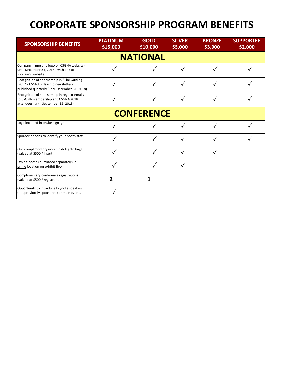# **CORPORATE SPONSORSHIP PROGRAM BENEFITS**

| <b>SPONSORSHIP BENEFITS</b>                                                                                                           | <b>PLATINUM</b><br>\$15,000 | <b>GOLD</b><br>\$10,000 | <b>SILVER</b><br>\$5,000 | <b>BRONZE</b><br>\$3,000 | <b>SUPPORTER</b><br>\$2,000 |
|---------------------------------------------------------------------------------------------------------------------------------------|-----------------------------|-------------------------|--------------------------|--------------------------|-----------------------------|
|                                                                                                                                       |                             | <b>NATIONAL</b>         |                          |                          |                             |
| Company name and logo on CSGNA website -<br>until December 31, 2018 - with link to<br>sponsor's website                               |                             |                         |                          |                          |                             |
| Recognition of sponsorship in "The Guiding<br>Light" - CSGNA's flagship newsletter -<br>published quarterly (until December 31, 2018) |                             |                         |                          |                          |                             |
| Recognition of sponsorship in regular emails<br>to CSGNA membership and CSGNA 2018<br>attendees (until September 25, 2018)            |                             |                         |                          |                          |                             |
| <b>CONFERENCE</b>                                                                                                                     |                             |                         |                          |                          |                             |
| Logo included in onsite signage                                                                                                       |                             |                         |                          |                          |                             |
| Sponsor ribbons to identify your booth staff                                                                                          |                             |                         |                          |                          |                             |
| One complimentary insert in delegate bags<br>(valued at \$500 / insert)                                                               |                             |                         |                          |                          |                             |
| Exhibit booth (purchased separately) in<br>prime location on exhibit floor                                                            |                             |                         |                          |                          |                             |
| Complimentary conference registrations<br>(valued at \$500 / registrant)                                                              |                             |                         |                          |                          |                             |
| Opportunity to introduce keynote speakers<br>(not previously sponsored) or main events                                                |                             |                         |                          |                          |                             |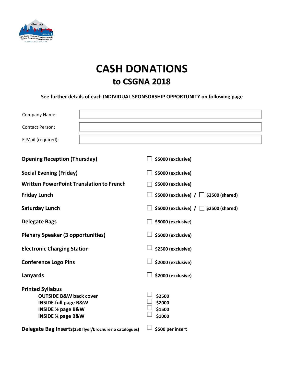

# **CASH DONATIONS to CSGNA 2018**

#### **See further details of each INDIVIDUAL SPONSORSHIP OPPORTUNITY on following page**

| Company Name:                                                                                   |                                               |
|-------------------------------------------------------------------------------------------------|-----------------------------------------------|
| <b>Contact Person:</b>                                                                          |                                               |
| E-Mail (required):                                                                              |                                               |
| <b>Opening Reception (Thursday)</b>                                                             | \$5000 (exclusive)                            |
| <b>Social Evening (Friday)</b>                                                                  | \$5000 (exclusive)                            |
| <b>Written PowerPoint Translation to French</b>                                                 | \$5000 (exclusive)                            |
| <b>Friday Lunch</b>                                                                             | \$5000 (exclusive) $/$ $\Box$ \$2500 (shared) |
| <b>Saturday Lunch</b>                                                                           | \$5000 (exclusive) $/ \Box$ \$2500 (shared)   |
| <b>Delegate Bags</b>                                                                            | \$5000 (exclusive)                            |
| <b>Plenary Speaker (3 opportunities)</b>                                                        | \$5000 (exclusive)                            |
| <b>Electronic Charging Station</b>                                                              | \$2500 (exclusive)                            |
| <b>Conference Logo Pins</b>                                                                     | \$2000 (exclusive)                            |
| Lanyards                                                                                        | \$2000 (exclusive)                            |
| <b>Printed Syllabus</b><br><b>OUTSIDE B&amp;W back cover</b><br><b>INSIDE full page B&amp;W</b> | \$2500<br>\$2000                              |
| <b>INSIDE 1/2 page B&amp;W</b><br><b>INSIDE % page B&amp;W</b>                                  | \$1500<br>\$1000                              |
| Delegate Bag Inserts(250 flyer/brochure no catalogues)                                          | \$500 per insert                              |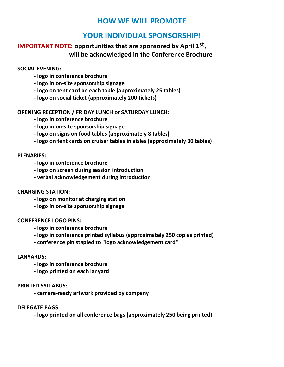### **HOW WE WILL PROMOTE**

### **YOUR INDIVIDUAL SPONSORSHIP!**

### **IMPORTANT NOTE: opportunities that are sponsored by April 1st, will be acknowledged in the Conference Brochure**

**SOCIAL EVENING:**

- **- logo in conference brochure**
- **- logo in on-site sponsorship signage**
- **- logo on tent card on each table (approximately 25 tables)**
- **- logo on social ticket (approximately 200 tickets)**

**OPENING RECEPTION / FRIDAY LUNCH or SATURDAY LUNCH:**

- **- logo in conference brochure**
- **- logo in on-site sponsorship signage**
- **- logo on signs on food tables (approximately 8 tables)**
- **- logo on tent cards on cruiser tables in aisles (approximately 30 tables)**

#### **PLENARIES:**

- **- logo in conference brochure**
- **- logo on screen during session introduction**
- **- verbal acknowledgement during introduction**

#### **CHARGING STATION:**

- **- logo on monitor at charging station**
- **- logo in on-site sponsorship signage**

#### **CONFERENCE LOGO PINS:**

- **- logo in conference brochure**
- **- logo in conference printed syllabus (approximately 250 copies printed)**
- **- conference pin stapled to "logo acknowledgement card"**

#### **LANYARDS:**

- **- logo in conference brochure**
- **- logo printed on each lanyard**

#### **PRINTED SYLLABUS:**

**- camera-ready artwork provided by company**

**DELEGATE BAGS:**

**- logo printed on all conference bags (approximately 250 being printed)**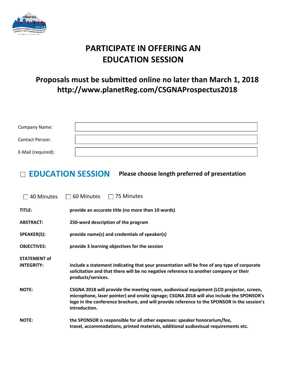

## **PARTICIPATE IN OFFERING AN EDUCATION SESSION**

### **Proposals must be submitted online no later than March 1, 2018 http://www.planetReg.com/CSGNAProspectus2018**

| <b>Company Name:</b> |  |
|----------------------|--|
| Contact Person:      |  |
| E-Mail (required):   |  |

### **EDUCATION SESSION Please choose length preferred of presentation**

| 40 Minutes          | 75 Minutes<br>60 Minutes                                                                                                                                                                                                                                                                             |
|---------------------|------------------------------------------------------------------------------------------------------------------------------------------------------------------------------------------------------------------------------------------------------------------------------------------------------|
| TITLE:              | provide an accurate title (no more than 10 words)                                                                                                                                                                                                                                                    |
| <b>ABSTRACT:</b>    | 250-word description of the program                                                                                                                                                                                                                                                                  |
| SPEAKER(S):         | provide name(s) and credentials of speaker(s)                                                                                                                                                                                                                                                        |
| <b>OBJECTIVES:</b>  | provide 3 learning objectives for the session                                                                                                                                                                                                                                                        |
| <b>STATEMENT of</b> |                                                                                                                                                                                                                                                                                                      |
| <b>INTEGRITY:</b>   | include a statement indicating that your presentation will be free of any type of corporate<br>solicitation and that there will be no negative reference to another company or their<br>products/services.                                                                                           |
| <b>NOTE:</b>        | CSGNA 2018 will provide the meeting room, audiovisual equipment (LCD projector, screen,<br>microphone, laser pointer) and onsite signage; CSGNA 2018 will also include the SPONSOR's<br>logo in the conference brochure, and will provide reference to the SPONSOR in the session's<br>introduction. |
| <b>NOTE:</b>        | the SPONSOR is responsible for all other expenses: speaker honorarium/fee,<br>travel, accommodations, printed materials, additional audiovisual requirements etc.                                                                                                                                    |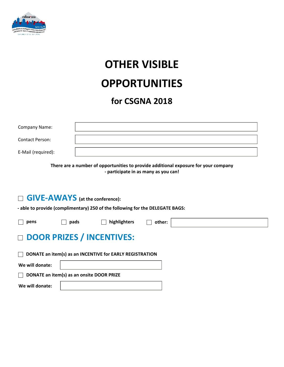

# **OTHER VISIBLE OPPORTUNITIES**

## **for CSGNA 2018**

| <b>Company Name:</b> |  |
|----------------------|--|
| Contact Person:      |  |
| E-Mail (required):   |  |

**There are a number of opportunities to provide additional exposure for your company - participate in as many as you can!**

### **GIVE-AWAYS** (at the conference):

**- able to provide (complimentary) 250 of the following for the DELEGATE BAGS:**

| $\sim$<br>۰, |
|--------------|
|--------------|

**pens pads highlighters other:**

#### **DOOR PRIZES / INCENTIVES:**  $\Box$

**DONATE an item(s) as an INCENTIVE for EARLY REGISTRATION**  $\Box$ **We will donate: DONATE an item(s) as an onsite DOOR PRIZE We will donate:**